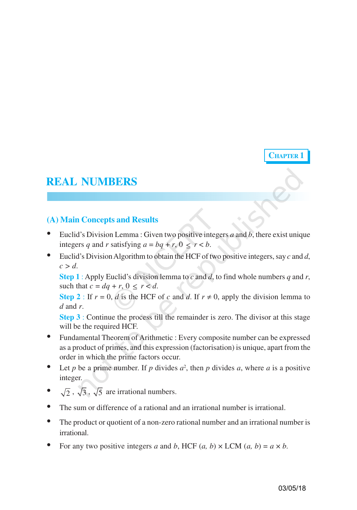**CHAPTER 1**

## **REAL NUMBERS**

### **(A) Main Concepts and Results**

- Euclid's Division Lemma : Given two positive integers *a* and *b*, there exist unique integers *q* and *r* satisfying  $a = bq + r$ ,  $0 \le r < b$ .
- Euclid's Division Algorithm to obtain the HCF of two positive integers, say *c* and *d*,  $c > d$ .

**Step 1** : Apply Euclid's division lemma to *c* and *d*, to find whole numbers *q* and *r*, such that  $c = dq + r$ ,  $0 \le r < d$ .

**Step 2** : If  $r = 0$ , *d* is the HCF of *c* and *d*. If  $r \neq 0$ , apply the division lemma to *d* and *r*.

**Step 3** : Continue the process till the remainder is zero. The divisor at this stage will be the required HCF.

- Fundamental Theorem of Arithmetic : Every composite number can be expressed as a product of primes, and this expression (factorisation) is unique, apart from the order in which the prime factors occur.
- Let *p* be a prime number. If *p* divides  $a^2$ , then *p* divides *a*, where *a* is a positive integer.
- $\sqrt{2}$ ,  $\sqrt{3}$ ,  $\sqrt{5}$  are irrational numbers.
- The sum or difference of a rational and an irrational number is irrational.
- The product or quotient of a non-zero rational number and an irrational number is irrational.
- For any two positive integers *a* and *b*, HCF  $(a, b) \times LCM$   $(a, b) = a \times b$ .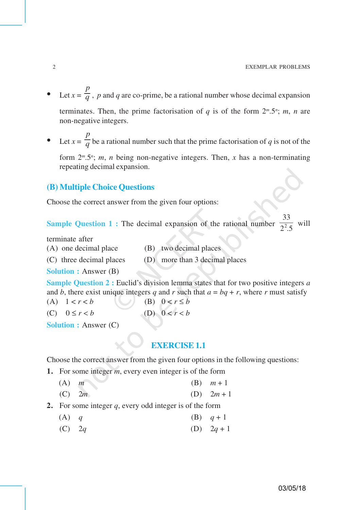- Let  $x = \frac{p}{q}$ , *p* and *q* are co-prime, be a rational number whose decimal expansion terminates. Then, the prime factorisation of  $q$  is of the form  $2^m \cdot 5^n$ ; *m*, *n* are non-negative integers.
- Let  $x = \frac{p}{q}$  be a rational number such that the prime factorisation of *q* is not of the

form 2*<sup>m</sup>*.5*<sup>n</sup>* ; *m*, *n* being non-negative integers. Then, *x* has a non-terminating repeating decimal expansion.

#### **(B) Multiple Choice Questions**

Choose the correct answer from the given four options:

**Sample Question 1 :** The decimal expansion of the rational number 33  $\frac{1}{2^2 \cdot 5}$  will

terminate after

- (A) one decimal place (B) two decimal places
- (C) three decimal places (D) more than 3 decimal places

**Solution :** Answer (B)

**Sample Question 2 :** Euclid's division lemma states that for two positive integers *a* and *b*, there exist unique integers *q* and *r* such that  $a = bq + r$ , where *r* must satisfy

(A)  $1 < r < b$  (B)  $0 < r \le b$ 

(C)  $0 \le r < b$  (D)  $0 < r < b$ 

**Solution :** Answer (C)

## **EXERCISE 1.1**

Choose the correct answer from the given four options in the following questions:

- **1.** For some integer *m*, every even integer is of the form
	- (A)  $m$  (B)  $m+1$
	- (C)  $2m$  (D)  $2m+1$
- **2.** For some integer *q*, every odd integer is of the form
	- (A) *q* (B)  $q+1$
	- (C)  $2q$  (D)  $2q+1$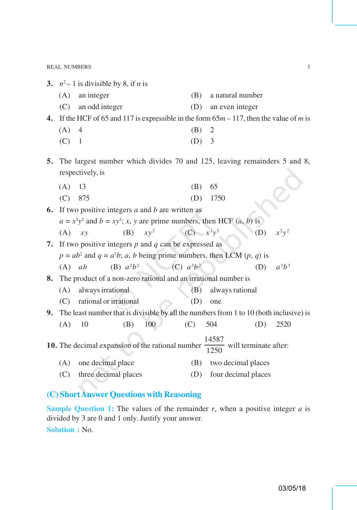REAL NUMBERS 3

|                                                                                                      | 3. $n^2-1$ is divisible by 8, if <i>n</i> is                                                 |                        |              |                           |                        |                                                                |     |          |  |
|------------------------------------------------------------------------------------------------------|----------------------------------------------------------------------------------------------|------------------------|--------------|---------------------------|------------------------|----------------------------------------------------------------|-----|----------|--|
|                                                                                                      | (A)                                                                                          | an integer             |              |                           | (B)                    | a natural number                                               |     |          |  |
|                                                                                                      | (C)                                                                                          | an odd integer         |              |                           | (D)                    | an even integer                                                |     |          |  |
| 4.                                                                                                   | If the HCF of 65 and 117 is expressible in the form $65m - 117$ , then the value of m is     |                        |              |                           |                        |                                                                |     |          |  |
|                                                                                                      | (A)                                                                                          | $\overline{4}$         |              |                           | (B)                    | 2                                                              |     |          |  |
|                                                                                                      | (C)                                                                                          | $\mathbf{1}$           |              |                           | (D)                    | $\overline{\mathbf{3}}$                                        |     |          |  |
| 5.                                                                                                   | The largest number which divides 70 and 125, leaving remainders 5 and 8,<br>respectively, is |                        |              |                           |                        |                                                                |     |          |  |
|                                                                                                      | (A)                                                                                          | 13                     |              |                           | (B)                    | 65                                                             |     |          |  |
|                                                                                                      | (C)                                                                                          | 875                    |              |                           | (D)                    | 1750                                                           |     |          |  |
|                                                                                                      | <b>6.</b> If two positive integers $a$ and $b$ are written as                                |                        |              |                           |                        |                                                                |     |          |  |
|                                                                                                      | $a = x3y2$ and $b = xy3$ ; x, y are prime numbers, then HCF $(a, b)$ is                      |                        |              |                           |                        |                                                                |     |          |  |
|                                                                                                      | (A)                                                                                          | xy                     | $(B)$ $xy^2$ |                           | $(C)$ $x^3y^3$         |                                                                | (D) | $x^2y^2$ |  |
| 7.                                                                                                   | If two positive integers $p$ and $q$ can be expressed as                                     |                        |              |                           |                        |                                                                |     |          |  |
|                                                                                                      | $p = ab^2$ and $q = a^3b$ ; a, b being prime numbers, then LCM (p, q) is                     |                        |              |                           |                        |                                                                |     |          |  |
|                                                                                                      | $(A)$ ab                                                                                     |                        |              | (B) $a^2b^2$ (C) $a^3b^2$ |                        |                                                                | (D) | $a^3b^3$ |  |
| 8.                                                                                                   |                                                                                              |                        |              |                           |                        | The product of a non-zero rational and an irrational number is |     |          |  |
|                                                                                                      | (A)                                                                                          | always irrational      |              |                           | always rational<br>(B) |                                                                |     |          |  |
|                                                                                                      | (C)                                                                                          | rational or irrational |              |                           | (D)                    | one                                                            |     |          |  |
| 9.                                                                                                   | The least number that is divisible by all the numbers from 1 to 10 (both inclusive) is       |                        |              |                           |                        |                                                                |     |          |  |
|                                                                                                      | (A)                                                                                          | 10                     | (B)          | 100                       | (C)                    | 504                                                            | (D) | 2520     |  |
| 14587<br>10. The decimal expansion of the rational number $\frac{1.567}{1250}$ will terminate after: |                                                                                              |                        |              |                           |                        |                                                                |     |          |  |
|                                                                                                      | (A)                                                                                          | one decimal place      |              |                           | (B)                    | two decimal places                                             |     |          |  |
|                                                                                                      | (C)                                                                                          | three decimal places   |              |                           | (D)                    | four decimal places                                            |     |          |  |
|                                                                                                      |                                                                                              |                        |              |                           |                        |                                                                |     |          |  |

# **(C) Short Answer Questions with Reasoning**

**Sample Question 1:** The values of the remainder *r*, when a positive integer *a* is divided by 3 are 0 and 1 only. Justify your answer. **Solution :** No.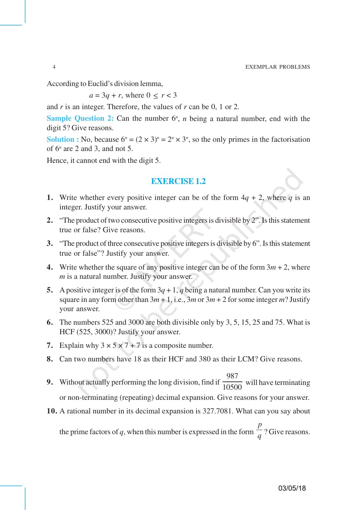According to Euclid's division lemma,

 $a = 3q + r$ , where  $0 \leq r < 3$ 

and *r* is an integer. Therefore, the values of *r* can be 0, 1 or 2.

**Sample Question 2:** Can the number  $6^n$ , *n* being a natural number, end with the digit 5? Give reasons.

**Solution :** No, because  $6^n = (2 \times 3)^n = 2^n \times 3^n$ , so the only primes in the factorisation of 6*<sup>n</sup>* are 2 and 3, and not 5.

Hence, it cannot end with the digit 5.

#### **EXERCISE 1.2**

- **1.** Write whether every positive integer can be of the form  $4q + 2$ , where q is an integer. Justify your answer.
- **2.** "The product of two consecutive positive integers is divisible by 2". Is this statement true or false? Give reasons.
- **3.** "The product of three consecutive positive integers is divisible by 6". Is this statement true or false"? Justify your answer.
- **4.** Write whether the square of any positive integer can be of the form  $3m + 2$ , where *m* is a natural number. Justify your answer.
- **5.** A positive integer is of the form  $3q + 1$ , *q* being a natural number. Can you write its square in any form other than  $3m + 1$ , i.e.,  $3m$  or  $3m + 2$  for some integer *m*? Justify your answer.
- **6.** The numbers 525 and 3000 are both divisible only by 3, 5, 15, 25 and 75. What is HCF (525, 3000)? Justify your answer.
- **7.** Explain why  $3 \times 5 \times 7 + 7$  is a composite number.
- **8.** Can two numbers have 18 as their HCF and 380 as their LCM? Give reasons.
- **9.** Without actually performing the long division, find if 987  $\frac{1000}{10500}$  will have terminating or non-terminating (repeating) decimal expansion. Give reasons for your answer.
- **10.** A rational number in its decimal expansion is 327.7081. What can you say about

the prime factors of *q*, when this number is expressed in the form *p*  $\frac{1}{q}$ ? Give reasons.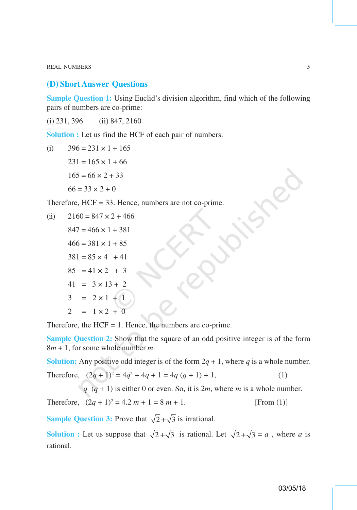REAL NUMBERS 5

#### **(D) Short Answer Questions**

**Sample Question 1:** Using Euclid's division algorithm, find which of the following pairs of numbers are co-prime:

 $(i)$  231, 396  $(ii)$  847, 2160

**Solution :** Let us find the HCF of each pair of numbers.

(i) 
$$
396 = 231 \times 1 + 165
$$
  
\n $231 = 165 \times 1 + 66$   
\n $165 = 66 \times 2 + 33$   
\n $66 = 33 \times 2 + 0$ 

Therefore, HCF = 33. Hence, numbers are not co-prime.

(ii) 
$$
2160 = 847 \times 2 + 466
$$
  
\n $847 = 466 \times 1 + 381$   
\n $466 = 381 \times 1 + 85$   
\n $381 = 85 \times 4 + 41$   
\n $85 = 41 \times 2 + 3$   
\n $41 = 3 \times 13 + 2$   
\n $3 = 2 \times 1 + 1$   
\n $2 = 1 \times 2 + 0$ 

Therefore, the  $HCF = 1$ . Hence, the numbers are co-prime.

**Sample Question 2:** Show that the square of an odd positive integer is of the form 8*m* + 1, for some whole number *m*.

**Solution:** Any positive odd integer is of the form  $2q + 1$ , where *q* is a whole number.

Therefore, 
$$
(2q + 1)^2 = 4q^2 + 4q + 1 = 4q (q + 1) + 1,
$$
 (1)

 $q$  ( $q + 1$ ) is either 0 or even. So, it is 2*m*, where *m* is a whole number.

Therefore,  $(2q + 1)^2 = 4.2 m + 1 = 8 m + 1.$  [From (1)]

**Sample Question 3:** Prove that  $\sqrt{2} + \sqrt{3}$  is irrational.

**Solution :** Let us suppose that  $\sqrt{2} + \sqrt{3}$  is rational. Let  $\sqrt{2} + \sqrt{3} = a$ , where *a* is rational.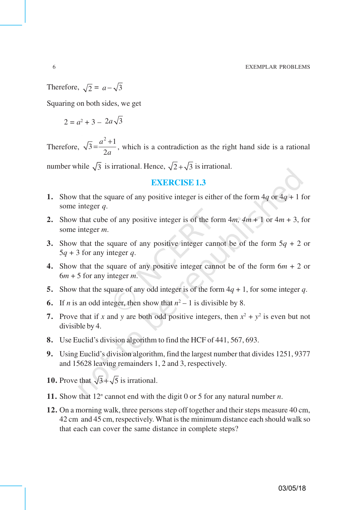6 EXEMPLAR PROBLEMS

Therefore,  $\sqrt{2} = a - \sqrt{3}$ 

Squaring on both sides, we get

$$
2 = a^2 + 3 - 2a\sqrt{3}
$$

Therefore,  $\sqrt{3} = \frac{a^2 + 1}{2}$ 2 *a*  $=\frac{a^2+1}{2a}$ , which is a contradiction as the right hand side is a rational number while  $\sqrt{3}$  is irrational. Hence,  $\sqrt{2} + \sqrt{3}$  is irrational.

#### **EXERCISE 1.3**

- **1.** Show that the square of any positive integer is either of the form  $4q$  or  $4q + 1$  for some integer *q*.
- **2.** Show that cube of any positive integer is of the form  $4m$ ,  $4m + 1$  or  $4m + 3$ , for some integer *m*.
- **3.** Show that the square of any positive integer cannot be of the form  $5q + 2$  or  $5q + 3$  for any integer *q*.
- **4.** Show that the square of any positive integer cannot be of the form  $6m + 2$  or 6*m* + 5 for any integer *m*.
- **5.** Show that the square of any odd integer is of the form  $4q + 1$ , for some integer q.
- **6.** If *n* is an odd integer, then show that  $n^2 1$  is divisible by 8.
- **7.** Prove that if *x* and *y* are both odd positive integers, then  $x^2 + y^2$  is even but not divisible by 4.
- **8.** Use Euclid's division algorithm to find the HCF of 441, 567, 693.
- **9.** Using Euclid's division algorithm, find the largest number that divides 1251, 9377 and 15628 leaving remainders 1, 2 and 3, respectively.
- **10.** Prove that  $\sqrt{3} + \sqrt{5}$  is irrational.
- **11.** Show that 12*<sup>n</sup>* cannot end with the digit 0 or 5 for any natural number *n*.
- **12.** On a morning walk, three persons step off together and their steps measure 40 cm, 42 cm and 45 cm, respectively. What is the minimum distance each should walk so that each can cover the same distance in complete steps?